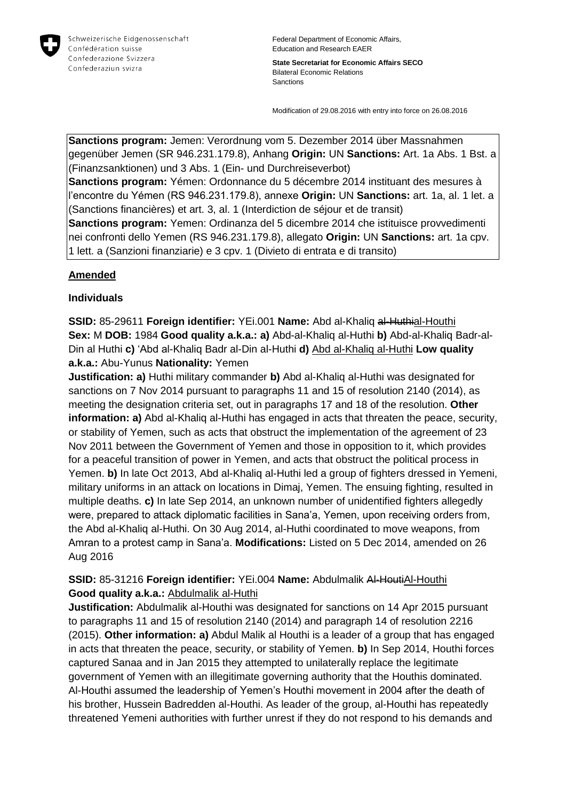

Federal Department of Economic Affairs, Education and Research EAER

**State Secretariat for Economic Affairs SECO** Bilateral Economic Relations Sanctions

Modification of 29.08.2016 with entry into force on 26.08.2016

**Sanctions program:** Jemen: Verordnung vom 5. Dezember 2014 über Massnahmen gegenüber Jemen (SR 946.231.179.8), Anhang **Origin:** UN **Sanctions:** Art. 1a Abs. 1 Bst. a (Finanzsanktionen) und 3 Abs. 1 (Ein- und Durchreiseverbot) **Sanctions program:** Yémen: Ordonnance du 5 décembre 2014 instituant des mesures à l'encontre du Yémen (RS 946.231.179.8), annexe **Origin:** UN **Sanctions:** art. 1a, al. 1 let. a (Sanctions financières) et art. 3, al. 1 (Interdiction de séjour et de transit) **Sanctions program:** Yemen: Ordinanza del 5 dicembre 2014 che istituisce provvedimenti nei confronti dello Yemen (RS 946.231.179.8), allegato **Origin:** UN **Sanctions:** art. 1a cpv.

## 1 lett. a (Sanzioni finanziarie) e 3 cpv. 1 (Divieto di entrata e di transito)

## **Amended**

## **Individuals**

**SSID:** 85-29611 **Foreign identifier:** YEi.001 **Name:** Abd al-Khaliq al-Huthial-Houthi **Sex:** M **DOB:** 1984 **Good quality a.k.a.: a)** Abd-al-Khaliq al-Huthi **b)** Abd-al-Khaliq Badr-al-Din al Huthi **c)** 'Abd al-Khaliq Badr al-Din al-Huthi **d)** Abd al-Khaliq al-Huthi **Low quality a.k.a.:** Abu-Yunus **Nationality:** Yemen

**Justification: a)** Huthi military commander **b)** Abd al-Khaliq al-Huthi was designated for sanctions on 7 Nov 2014 pursuant to paragraphs 11 and 15 of resolution 2140 (2014), as meeting the designation criteria set, out in paragraphs 17 and 18 of the resolution. **Other information: a)** Abd al-Khaliq al-Huthi has engaged in acts that threaten the peace, security, or stability of Yemen, such as acts that obstruct the implementation of the agreement of 23 Nov 2011 between the Government of Yemen and those in opposition to it, which provides for a peaceful transition of power in Yemen, and acts that obstruct the political process in Yemen. **b)** In late Oct 2013, Abd al-Khaliq al-Huthi led a group of fighters dressed in Yemeni, military uniforms in an attack on locations in Dimaj, Yemen. The ensuing fighting, resulted in multiple deaths. **c)** In late Sep 2014, an unknown number of unidentified fighters allegedly were, prepared to attack diplomatic facilities in Sana'a, Yemen, upon receiving orders from, the Abd al-Khaliq al-Huthi. On 30 Aug 2014, al-Huthi coordinated to move weapons, from Amran to a protest camp in Sana'a. **Modifications:** Listed on 5 Dec 2014, amended on 26 Aug 2016

## **SSID:** 85-31216 **Foreign identifier:** YEi.004 **Name:** Abdulmalik Al-HoutiAl-Houthi **Good quality a.k.a.:** Abdulmalik al-Huthi

**Justification:** Abdulmalik al-Houthi was designated for sanctions on 14 Apr 2015 pursuant to paragraphs 11 and 15 of resolution 2140 (2014) and paragraph 14 of resolution 2216 (2015). **Other information: a)** Abdul Malik al Houthi is a leader of a group that has engaged in acts that threaten the peace, security, or stability of Yemen. **b)** In Sep 2014, Houthi forces captured Sanaa and in Jan 2015 they attempted to unilaterally replace the legitimate government of Yemen with an illegitimate governing authority that the Houthis dominated. Al-Houthi assumed the leadership of Yemen's Houthi movement in 2004 after the death of his brother, Hussein Badredden al-Houthi. As leader of the group, al-Houthi has repeatedly threatened Yemeni authorities with further unrest if they do not respond to his demands and